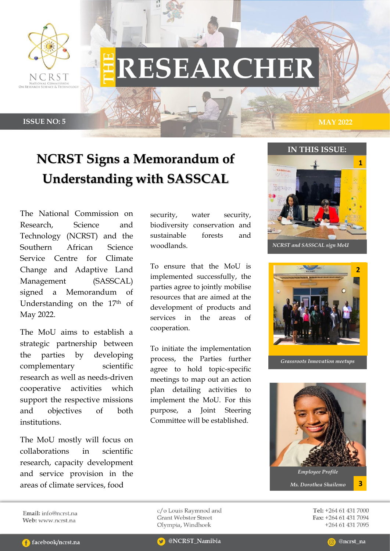

# **RESEARCHER**

**ISSUE NO: 5 MAY 2022**

# **NCRST Signs a Memorandum of Understanding with SASSCAL**

The National Commission on Research, Science and Technology (NCRST) and the Southern African Science Service Centre for Climate Change and Adaptive Land Management (SASSCAL) signed a Memorandum of Understanding on the 17<sup>th</sup> of May 2022.

The MoU aims to establish a strategic partnership between the parties by developing complementary scientific research as well as needs-driven cooperative activities which support the respective missions and objectives of both institutions.

The MoU mostly will focus on collaborations in scientific research, capacity development and service provision in the areas of climate services, food

security, water security, biodiversity conservation and sustainable forests and woodlands.

To ensure that the MoU is implemented successfully, the parties agree to jointly mobilise resources that are aimed at the development of products and services in the areas of cooperation.

To initiate the implementation process, the Parties further agree to hold topic-specific meetings to map out an action plan detailing activities to implement the MoU. For this purpose, a Joint Steering Committee will be established.





*Grassroots Innovation meetups*



Tel: +264 61 431 7000 Fax: +264 61 431 7094 +264 61 431 7095

Email: info@ncrst.na Web: www.ncrst.na

c/o Louis Raymnod and **Grant Webster Street** Olympia, Windhoek

**C** facebook/ncrst.na

@NCRST\_Namibia

@ncrst na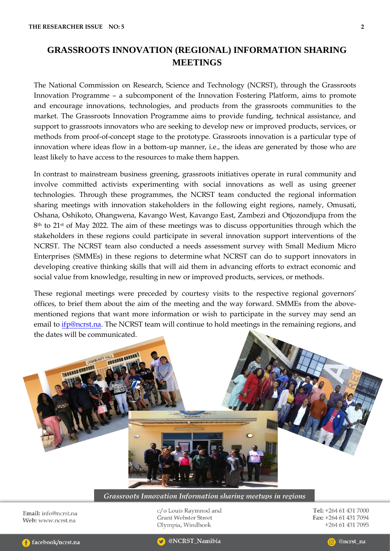# **GRASSROOTS INNOVATION (REGIONAL) INFORMATION SHARING MEETINGS**

The National Commission on Research, Science and Technology (NCRST), through the Grassroots Innovation Programme – a subcomponent of the Innovation Fostering Platform, aims to promote and encourage innovations, technologies, and products from the grassroots communities to the market. The Grassroots Innovation Programme aims to provide funding, technical assistance, and support to grassroots innovators who are seeking to develop new or improved products, services, or methods from proof-of-concept stage to the prototype. Grassroots innovation is a particular type of innovation where ideas flow in a bottom-up manner, i.e., the ideas are generated by those who are least likely to have access to the resources to make them happen.

In contrast to mainstream business greening, grassroots initiatives operate in rural community and involve committed activists experimenting with social innovations as well as using greener technologies. Through these programmes, the NCRST team conducted the regional information sharing meetings with innovation stakeholders in the following eight regions, namely, Omusati, Oshana, Oshikoto, Ohangwena, Kavango West, Kavango East, Zambezi and Otjozondjupa from the 8<sup>th</sup> to 21<sup>st</sup> of May 2022. The aim of these meetings was to discuss opportunities through which the stakeholders in these regions could participate in several innovation support interventions of the NCRST. The NCRST team also conducted a needs assessment survey with Small Medium Micro Enterprises (SMMEs) in these regions to determine what NCRST can do to support innovators in developing creative thinking skills that will aid them in advancing efforts to extract economic and social value from knowledge, resulting in new or improved products, services, or methods.

These regional meetings were preceded by courtesy visits to the respective regional governors' offices, to brief them about the aim of the meeting and the way forward. SMMEs from the abovementioned regions that want more information or wish to participate in the survey may send an email to *ifp@ncrst.na*. The NCRST team will continue to hold meetings in the remaining regions, and the dates will be communicated.



*Grassroots Innovation Information sharing meetups in regions*

Email: info@ncrst.na Web: www.ncrst.na

c/o Louis Raymnod and **Grant Webster Street** Olympia, Windhoek

Tel: +264 61 431 7000 Fax: +264 61 431 7094 +264 61 431 7095

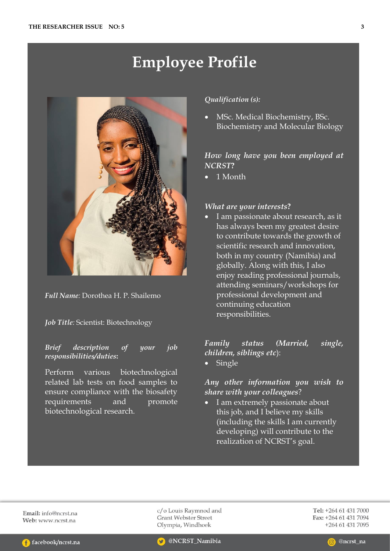# **Employee Profile**



*Full Name:* Dorothea H. P. Shailemo

#### *Job Title:* Scientist: Biotechnology

*Brief description of your job responsibilities/duties***:** 

Perform various biotechnological related lab tests on food samples to ensure compliance with the biosafety requirements and promote biotechnological research*.*

#### *Qualification (s):*

• MSc. Medical Biochemistry, BSc. Biochemistry and Molecular Biology

# *How long have you been employed at NCRST***?**

• 1 Month

#### *What are your interests***?**

• I am passionate about research, as it has always been my greatest desire to contribute towards the growth of scientific research and innovation, both in my country (Namibia) and globally. Along with this, I also enjoy reading professional journals, attending seminars/workshops for professional development and continuing education responsibilities.

### *Family status (Married, single, children, siblings etc*):

• Single

# *Any other information you wish to share with your colleagues*?

• I am extremely passionate about this job, and I believe my skills (including the skills I am currently developing) will contribute to the realization of NCRST's goal.

Email: info@ncrst.na Web: www.ncrst.na

c/o Louis Raymnod and **Grant Webster Street** Olympia, Windhoek

Tel: +264 61 431 7000 Fax: +264 61 431 7094 +264 61 431 7095



@NCRST\_Namibia

@ncrst\_na